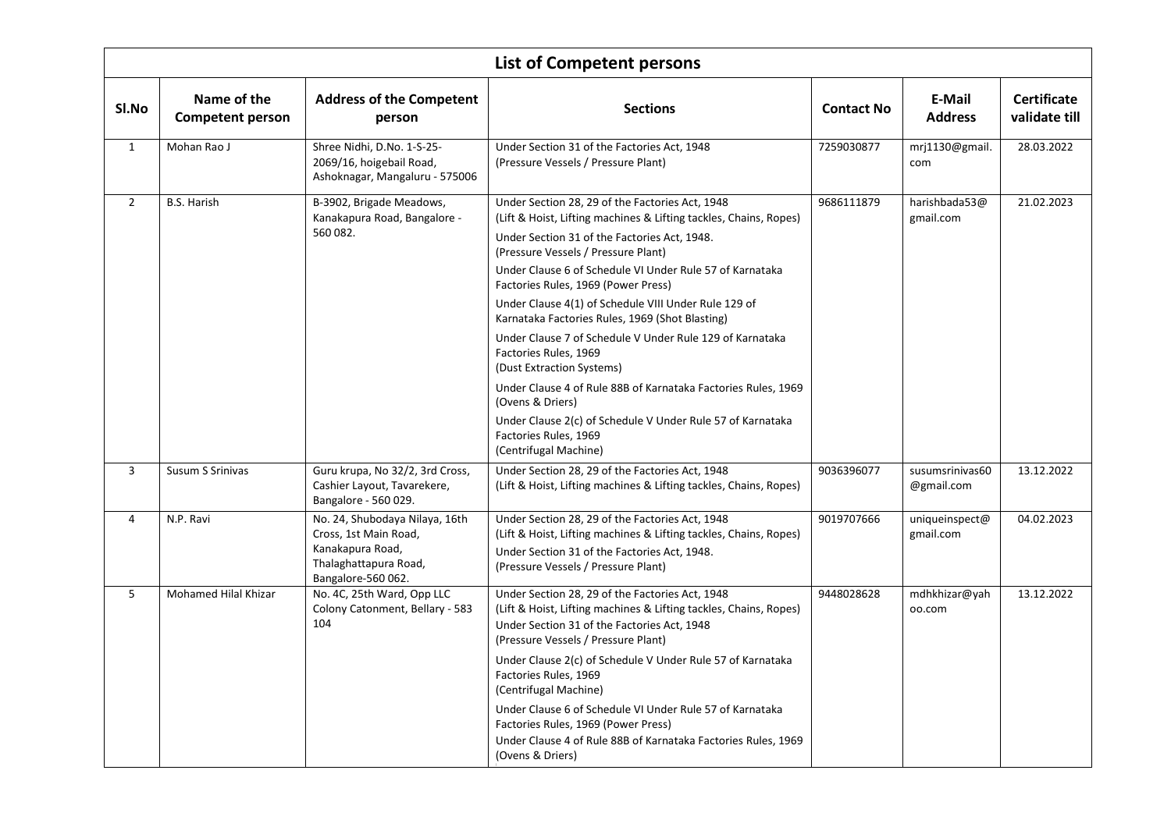|                | <b>List of Competent persons</b>       |                                                                                                                            |                                                                                                                                                                                                                                                                                                                                                                                                                                                                                                                                                                                                                                                                                                                                                  |                   |                               |                              |  |  |  |
|----------------|----------------------------------------|----------------------------------------------------------------------------------------------------------------------------|--------------------------------------------------------------------------------------------------------------------------------------------------------------------------------------------------------------------------------------------------------------------------------------------------------------------------------------------------------------------------------------------------------------------------------------------------------------------------------------------------------------------------------------------------------------------------------------------------------------------------------------------------------------------------------------------------------------------------------------------------|-------------------|-------------------------------|------------------------------|--|--|--|
| SI.No          | Name of the<br><b>Competent person</b> | <b>Address of the Competent</b><br>person                                                                                  | <b>Sections</b>                                                                                                                                                                                                                                                                                                                                                                                                                                                                                                                                                                                                                                                                                                                                  | <b>Contact No</b> | E-Mail<br><b>Address</b>      | Certificate<br>validate till |  |  |  |
| $\mathbf{1}$   | Mohan Rao J                            | Shree Nidhi, D.No. 1-S-25-<br>2069/16, hoigebail Road,<br>Ashoknagar, Mangaluru - 575006                                   | Under Section 31 of the Factories Act, 1948<br>(Pressure Vessels / Pressure Plant)                                                                                                                                                                                                                                                                                                                                                                                                                                                                                                                                                                                                                                                               | 7259030877        | mrj1130@gmail.<br>com         | 28.03.2022                   |  |  |  |
| $\overline{2}$ | <b>B.S. Harish</b>                     | B-3902, Brigade Meadows,<br>Kanakapura Road, Bangalore -<br>560 082.                                                       | Under Section 28, 29 of the Factories Act, 1948<br>(Lift & Hoist, Lifting machines & Lifting tackles, Chains, Ropes)<br>Under Section 31 of the Factories Act, 1948.<br>(Pressure Vessels / Pressure Plant)<br>Under Clause 6 of Schedule VI Under Rule 57 of Karnataka<br>Factories Rules, 1969 (Power Press)<br>Under Clause 4(1) of Schedule VIII Under Rule 129 of<br>Karnataka Factories Rules, 1969 (Shot Blasting)<br>Under Clause 7 of Schedule V Under Rule 129 of Karnataka<br>Factories Rules, 1969<br>(Dust Extraction Systems)<br>Under Clause 4 of Rule 88B of Karnataka Factories Rules, 1969<br>(Ovens & Driers)<br>Under Clause 2(c) of Schedule V Under Rule 57 of Karnataka<br>Factories Rules, 1969<br>(Centrifugal Machine) | 9686111879        | harishbada53@<br>gmail.com    | 21.02.2023                   |  |  |  |
| 3              | Susum S Srinivas                       | Guru krupa, No 32/2, 3rd Cross,<br>Cashier Layout, Tavarekere,<br>Bangalore - 560 029.                                     | Under Section 28, 29 of the Factories Act, 1948<br>(Lift & Hoist, Lifting machines & Lifting tackles, Chains, Ropes)                                                                                                                                                                                                                                                                                                                                                                                                                                                                                                                                                                                                                             | 9036396077        | susumsrinivas60<br>@gmail.com | 13.12.2022                   |  |  |  |
| $\overline{4}$ | N.P. Ravi                              | No. 24, Shubodaya Nilaya, 16th<br>Cross, 1st Main Road,<br>Kanakapura Road,<br>Thalaghattapura Road,<br>Bangalore-560 062. | Under Section 28, 29 of the Factories Act, 1948<br>(Lift & Hoist, Lifting machines & Lifting tackles, Chains, Ropes)<br>Under Section 31 of the Factories Act, 1948.<br>(Pressure Vessels / Pressure Plant)                                                                                                                                                                                                                                                                                                                                                                                                                                                                                                                                      | 9019707666        | uniqueinspect@<br>gmail.com   | 04.02.2023                   |  |  |  |
| 5              | Mohamed Hilal Khizar                   | No. 4C, 25th Ward, Opp LLC<br>Colony Catonment, Bellary - 583<br>104                                                       | Under Section 28, 29 of the Factories Act, 1948<br>(Lift & Hoist, Lifting machines & Lifting tackles, Chains, Ropes)<br>Under Section 31 of the Factories Act, 1948<br>(Pressure Vessels / Pressure Plant)<br>Under Clause 2(c) of Schedule V Under Rule 57 of Karnataka<br>Factories Rules, 1969<br>(Centrifugal Machine)<br>Under Clause 6 of Schedule VI Under Rule 57 of Karnataka<br>Factories Rules, 1969 (Power Press)<br>Under Clause 4 of Rule 88B of Karnataka Factories Rules, 1969<br>(Ovens & Driers)                                                                                                                                                                                                                               | 9448028628        | mdhkhizar@yah<br>oo.com       | 13.12.2022                   |  |  |  |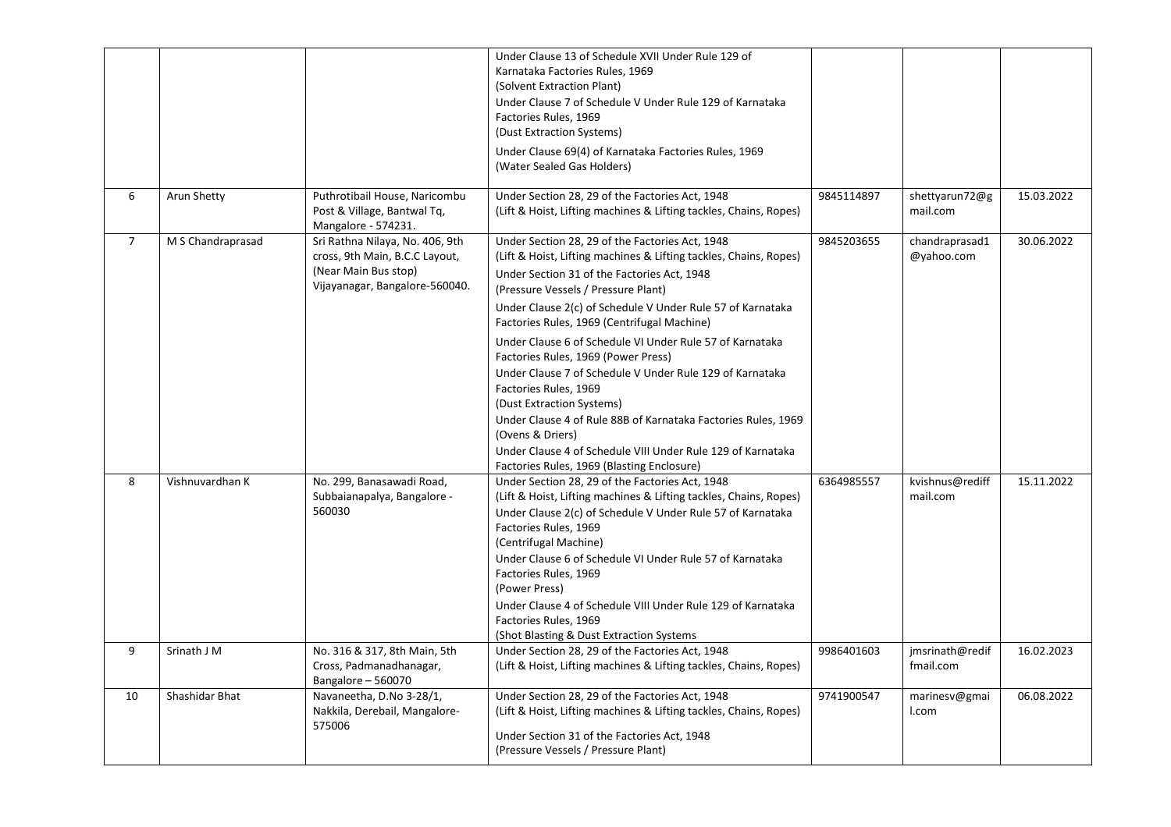|                |                   |                                                                                                                             | Under Clause 13 of Schedule XVII Under Rule 129 of<br>Karnataka Factories Rules, 1969<br>(Solvent Extraction Plant)<br>Under Clause 7 of Schedule V Under Rule 129 of Karnataka<br>Factories Rules, 1969<br>(Dust Extraction Systems)                                                                                                                                                                                                                                                                                                                                                                                                                                                                                                          |            |                              |            |
|----------------|-------------------|-----------------------------------------------------------------------------------------------------------------------------|------------------------------------------------------------------------------------------------------------------------------------------------------------------------------------------------------------------------------------------------------------------------------------------------------------------------------------------------------------------------------------------------------------------------------------------------------------------------------------------------------------------------------------------------------------------------------------------------------------------------------------------------------------------------------------------------------------------------------------------------|------------|------------------------------|------------|
|                |                   |                                                                                                                             | Under Clause 69(4) of Karnataka Factories Rules, 1969<br>(Water Sealed Gas Holders)                                                                                                                                                                                                                                                                                                                                                                                                                                                                                                                                                                                                                                                            |            |                              |            |
| 6              | Arun Shetty       | Puthrotibail House, Naricombu<br>Post & Village, Bantwal Tq,<br>Mangalore - 574231.                                         | Under Section 28, 29 of the Factories Act, 1948<br>(Lift & Hoist, Lifting machines & Lifting tackles, Chains, Ropes)                                                                                                                                                                                                                                                                                                                                                                                                                                                                                                                                                                                                                           | 9845114897 | shettyarun72@g<br>mail.com   | 15.03.2022 |
| $\overline{7}$ | M S Chandraprasad | Sri Rathna Nilaya, No. 406, 9th<br>cross, 9th Main, B.C.C Layout,<br>(Near Main Bus stop)<br>Vijayanagar, Bangalore-560040. | Under Section 28, 29 of the Factories Act, 1948<br>(Lift & Hoist, Lifting machines & Lifting tackles, Chains, Ropes)<br>Under Section 31 of the Factories Act, 1948<br>(Pressure Vessels / Pressure Plant)<br>Under Clause 2(c) of Schedule V Under Rule 57 of Karnataka<br>Factories Rules, 1969 (Centrifugal Machine)<br>Under Clause 6 of Schedule VI Under Rule 57 of Karnataka<br>Factories Rules, 1969 (Power Press)<br>Under Clause 7 of Schedule V Under Rule 129 of Karnataka<br>Factories Rules, 1969<br>(Dust Extraction Systems)<br>Under Clause 4 of Rule 88B of Karnataka Factories Rules, 1969<br>(Ovens & Driers)<br>Under Clause 4 of Schedule VIII Under Rule 129 of Karnataka<br>Factories Rules, 1969 (Blasting Enclosure) | 9845203655 | chandraprasad1<br>@yahoo.com | 30.06.2022 |
| 8              | Vishnuvardhan K   | No. 299, Banasawadi Road,<br>Subbaianapalya, Bangalore -<br>560030                                                          | Under Section 28, 29 of the Factories Act, 1948<br>(Lift & Hoist, Lifting machines & Lifting tackles, Chains, Ropes)<br>Under Clause 2(c) of Schedule V Under Rule 57 of Karnataka<br>Factories Rules, 1969<br>(Centrifugal Machine)<br>Under Clause 6 of Schedule VI Under Rule 57 of Karnataka<br>Factories Rules, 1969<br>(Power Press)<br>Under Clause 4 of Schedule VIII Under Rule 129 of Karnataka<br>Factories Rules, 1969<br>(Shot Blasting & Dust Extraction Systems)                                                                                                                                                                                                                                                                | 6364985557 | kvishnus@rediff<br>mail.com  | 15.11.2022 |
| 9              | Srinath J M       | No. 316 & 317, 8th Main, 5th<br>Cross, Padmanadhanagar,<br>Bangalore - 560070                                               | Under Section 28, 29 of the Factories Act, 1948<br>(Lift & Hoist, Lifting machines & Lifting tackles, Chains, Ropes)                                                                                                                                                                                                                                                                                                                                                                                                                                                                                                                                                                                                                           | 9986401603 | jmsrinath@redif<br>fmail.com | 16.02.2023 |
| 10             | Shashidar Bhat    | Navaneetha, D.No 3-28/1,<br>Nakkila, Derebail, Mangalore-<br>575006                                                         | Under Section 28, 29 of the Factories Act, 1948<br>(Lift & Hoist, Lifting machines & Lifting tackles, Chains, Ropes)<br>Under Section 31 of the Factories Act, 1948<br>(Pressure Vessels / Pressure Plant)                                                                                                                                                                                                                                                                                                                                                                                                                                                                                                                                     | 9741900547 | marinesv@gmai<br>I.com       | 06.08.2022 |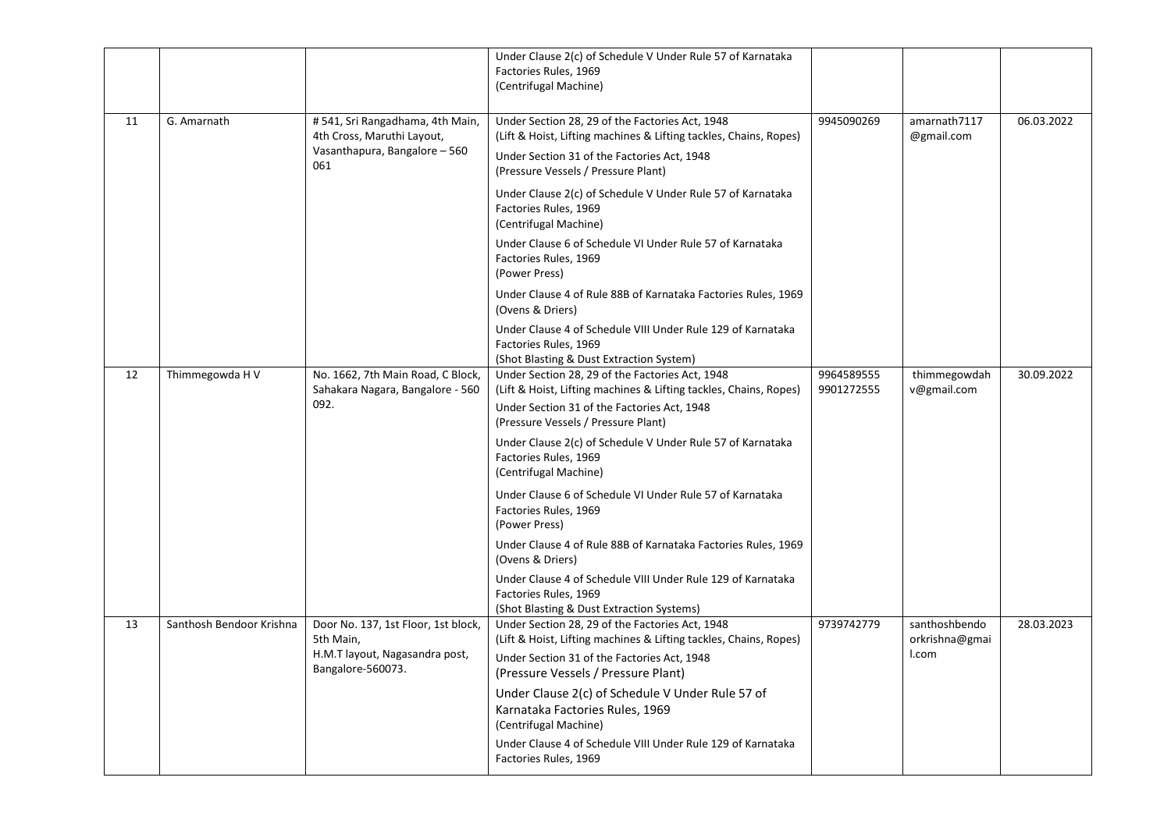|    |                          |                                                                                                         | Under Clause 2(c) of Schedule V Under Rule 57 of Karnataka<br>Factories Rules, 1969<br>(Centrifugal Machine)                                                                                               |                          |                                          |            |
|----|--------------------------|---------------------------------------------------------------------------------------------------------|------------------------------------------------------------------------------------------------------------------------------------------------------------------------------------------------------------|--------------------------|------------------------------------------|------------|
| 11 | G. Amarnath              | #541, Sri Rangadhama, 4th Main,<br>4th Cross, Maruthi Layout,<br>Vasanthapura, Bangalore - 560<br>061   | Under Section 28, 29 of the Factories Act, 1948<br>(Lift & Hoist, Lifting machines & Lifting tackles, Chains, Ropes)<br>Under Section 31 of the Factories Act, 1948<br>(Pressure Vessels / Pressure Plant) | 9945090269               | amarnath7117<br>@gmail.com               | 06.03.2022 |
|    |                          |                                                                                                         | Under Clause 2(c) of Schedule V Under Rule 57 of Karnataka<br>Factories Rules, 1969<br>(Centrifugal Machine)                                                                                               |                          |                                          |            |
|    |                          |                                                                                                         | Under Clause 6 of Schedule VI Under Rule 57 of Karnataka<br>Factories Rules, 1969<br>(Power Press)                                                                                                         |                          |                                          |            |
|    |                          |                                                                                                         | Under Clause 4 of Rule 88B of Karnataka Factories Rules, 1969<br>(Ovens & Driers)                                                                                                                          |                          |                                          |            |
|    |                          |                                                                                                         | Under Clause 4 of Schedule VIII Under Rule 129 of Karnataka<br>Factories Rules, 1969<br>(Shot Blasting & Dust Extraction System)                                                                           |                          |                                          |            |
| 12 | Thimmegowda H V          | No. 1662, 7th Main Road, C Block,<br>Sahakara Nagara, Bangalore - 560<br>092.                           | Under Section 28, 29 of the Factories Act, 1948<br>(Lift & Hoist, Lifting machines & Lifting tackles, Chains, Ropes)<br>Under Section 31 of the Factories Act, 1948<br>(Pressure Vessels / Pressure Plant) | 9964589555<br>9901272555 | thimmegowdah<br>v@gmail.com              | 30.09.2022 |
|    |                          |                                                                                                         | Under Clause 2(c) of Schedule V Under Rule 57 of Karnataka<br>Factories Rules, 1969<br>(Centrifugal Machine)                                                                                               |                          |                                          |            |
|    |                          |                                                                                                         | Under Clause 6 of Schedule VI Under Rule 57 of Karnataka<br>Factories Rules, 1969<br>(Power Press)                                                                                                         |                          |                                          |            |
|    |                          |                                                                                                         | Under Clause 4 of Rule 88B of Karnataka Factories Rules, 1969<br>(Ovens & Driers)                                                                                                                          |                          |                                          |            |
|    |                          |                                                                                                         | Under Clause 4 of Schedule VIII Under Rule 129 of Karnataka<br>Factories Rules, 1969<br>(Shot Blasting & Dust Extraction Systems)                                                                          |                          |                                          |            |
| 13 | Santhosh Bendoor Krishna | Door No. 137, 1st Floor, 1st block,<br>5th Main,<br>H.M.T layout, Nagasandra post,<br>Bangalore-560073. | Under Section 28, 29 of the Factories Act, 1948<br>(Lift & Hoist, Lifting machines & Lifting tackles, Chains, Ropes)<br>Under Section 31 of the Factories Act, 1948<br>(Pressure Vessels / Pressure Plant) | 9739742779               | santhoshbendo<br>orkrishna@gmai<br>I.com | 28.03.2023 |
|    |                          |                                                                                                         | Under Clause 2(c) of Schedule V Under Rule 57 of<br>Karnataka Factories Rules, 1969<br>(Centrifugal Machine)                                                                                               |                          |                                          |            |
|    |                          |                                                                                                         | Under Clause 4 of Schedule VIII Under Rule 129 of Karnataka<br>Factories Rules, 1969                                                                                                                       |                          |                                          |            |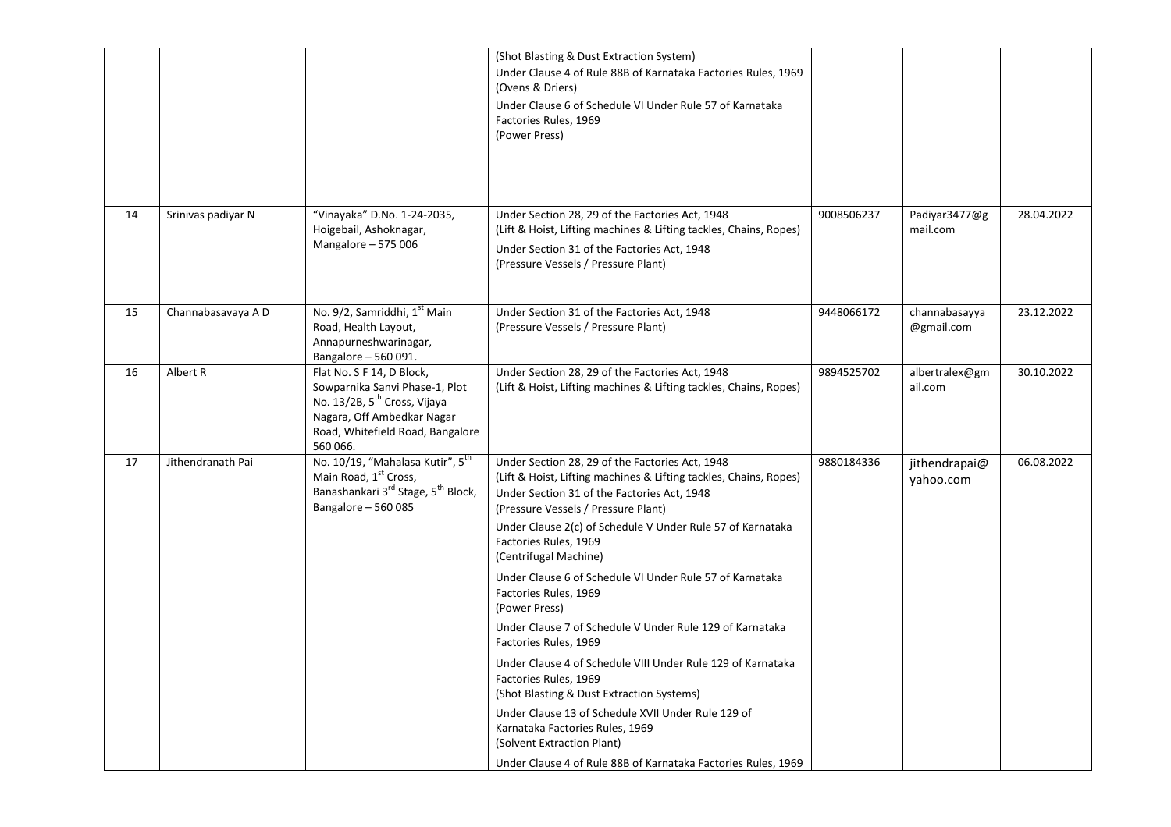|    |                    |                                                                                                                                                                                       | (Shot Blasting & Dust Extraction System)<br>Under Clause 4 of Rule 88B of Karnataka Factories Rules, 1969<br>(Ovens & Driers)<br>Under Clause 6 of Schedule VI Under Rule 57 of Karnataka<br>Factories Rules, 1969<br>(Power Press)                                                                                                                                                                                                                                                                                                                                                                                                                                                                                                                                                                                                                |            |                             |            |
|----|--------------------|---------------------------------------------------------------------------------------------------------------------------------------------------------------------------------------|----------------------------------------------------------------------------------------------------------------------------------------------------------------------------------------------------------------------------------------------------------------------------------------------------------------------------------------------------------------------------------------------------------------------------------------------------------------------------------------------------------------------------------------------------------------------------------------------------------------------------------------------------------------------------------------------------------------------------------------------------------------------------------------------------------------------------------------------------|------------|-----------------------------|------------|
| 14 | Srinivas padiyar N | "Vinayaka" D.No. 1-24-2035,<br>Hoigebail, Ashoknagar,<br>Mangalore - 575 006                                                                                                          | Under Section 28, 29 of the Factories Act, 1948<br>(Lift & Hoist, Lifting machines & Lifting tackles, Chains, Ropes)<br>Under Section 31 of the Factories Act, 1948<br>(Pressure Vessels / Pressure Plant)                                                                                                                                                                                                                                                                                                                                                                                                                                                                                                                                                                                                                                         | 9008506237 | Padiyar3477@g<br>mail.com   | 28.04.2022 |
| 15 | Channabasavaya A D | No. 9/2, Samriddhi, 1 <sup>st</sup> Main<br>Road, Health Layout,<br>Annapurneshwarinagar,<br>Bangalore - 560 091.                                                                     | Under Section 31 of the Factories Act, 1948<br>(Pressure Vessels / Pressure Plant)                                                                                                                                                                                                                                                                                                                                                                                                                                                                                                                                                                                                                                                                                                                                                                 | 9448066172 | channabasayya<br>@gmail.com | 23.12.2022 |
| 16 | Albert R           | Flat No. S F 14, D Block,<br>Sowparnika Sanvi Phase-1, Plot<br>No. 13/2B, 5 <sup>th</sup> Cross, Vijaya<br>Nagara, Off Ambedkar Nagar<br>Road, Whitefield Road, Bangalore<br>560 066. | Under Section 28, 29 of the Factories Act, 1948<br>(Lift & Hoist, Lifting machines & Lifting tackles, Chains, Ropes)                                                                                                                                                                                                                                                                                                                                                                                                                                                                                                                                                                                                                                                                                                                               | 9894525702 | albertralex@gm<br>ail.com   | 30.10.2022 |
| 17 | Jithendranath Pai  | No. 10/19, "Mahalasa Kutir", 5 <sup>th</sup><br>Main Road, 1 <sup>st</sup> Cross,<br>Banashankari 3 <sup>rd</sup> Stage, 5 <sup>th</sup> Block,<br>Bangalore - 560 085                | Under Section 28, 29 of the Factories Act, 1948<br>(Lift & Hoist, Lifting machines & Lifting tackles, Chains, Ropes)<br>Under Section 31 of the Factories Act, 1948<br>(Pressure Vessels / Pressure Plant)<br>Under Clause 2(c) of Schedule V Under Rule 57 of Karnataka<br>Factories Rules, 1969<br>(Centrifugal Machine)<br>Under Clause 6 of Schedule VI Under Rule 57 of Karnataka<br>Factories Rules, 1969<br>(Power Press)<br>Under Clause 7 of Schedule V Under Rule 129 of Karnataka<br>Factories Rules, 1969<br>Under Clause 4 of Schedule VIII Under Rule 129 of Karnataka<br>Factories Rules, 1969<br>(Shot Blasting & Dust Extraction Systems)<br>Under Clause 13 of Schedule XVII Under Rule 129 of<br>Karnataka Factories Rules, 1969<br>(Solvent Extraction Plant)<br>Under Clause 4 of Rule 88B of Karnataka Factories Rules, 1969 | 9880184336 | jithendrapai@<br>yahoo.com  | 06.08.2022 |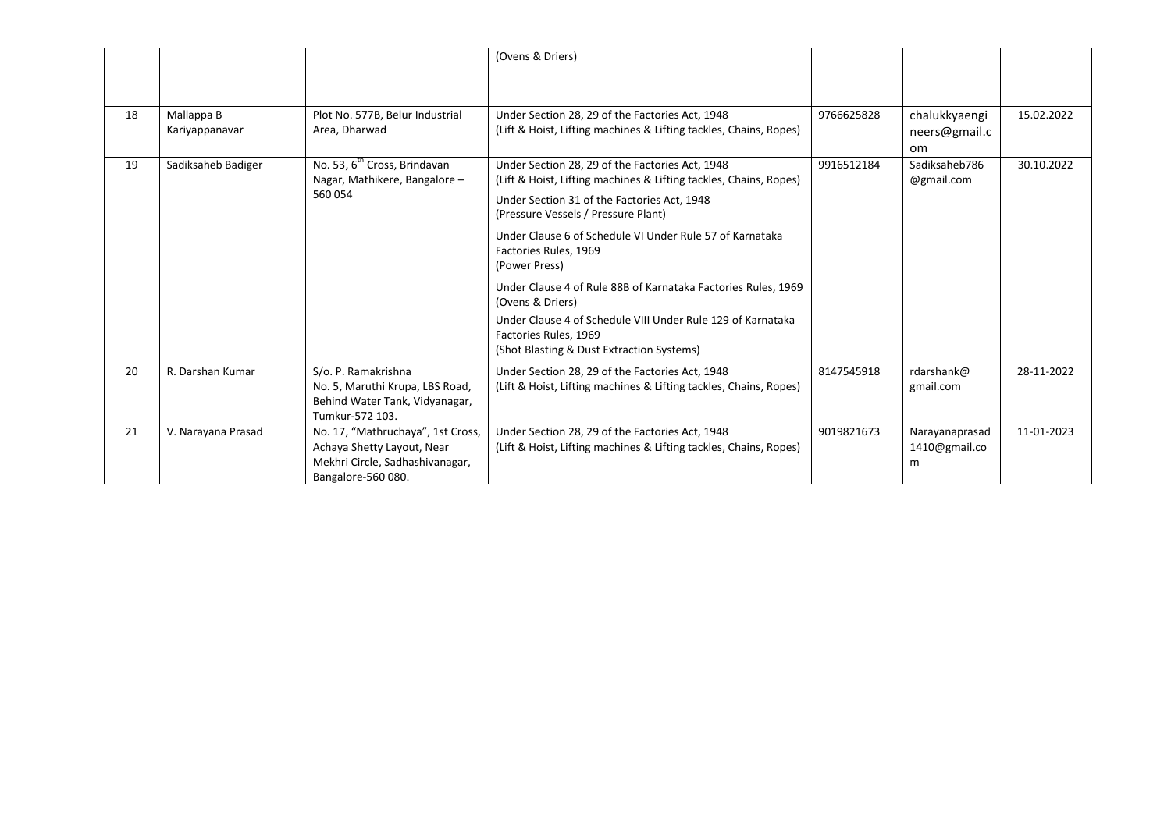|    |                              |                                                                                                                          | (Ovens & Driers)                                                                                                                                                                                                       |            |                                      |            |
|----|------------------------------|--------------------------------------------------------------------------------------------------------------------------|------------------------------------------------------------------------------------------------------------------------------------------------------------------------------------------------------------------------|------------|--------------------------------------|------------|
| 18 | Mallappa B<br>Kariyappanavar | Plot No. 577B, Belur Industrial<br>Area, Dharwad                                                                         | Under Section 28, 29 of the Factories Act, 1948<br>(Lift & Hoist, Lifting machines & Lifting tackles, Chains, Ropes)                                                                                                   | 9766625828 | chalukkyaengi<br>neers@gmail.c<br>om | 15.02.2022 |
| 19 | Sadiksaheb Badiger           | No. 53, 6 <sup>th</sup> Cross, Brindavan<br>Nagar, Mathikere, Bangalore -<br>560054                                      | Under Section 28, 29 of the Factories Act, 1948<br>(Lift & Hoist, Lifting machines & Lifting tackles, Chains, Ropes)<br>Under Section 31 of the Factories Act, 1948<br>(Pressure Vessels / Pressure Plant)             | 9916512184 | Sadiksaheb786<br>@gmail.com          | 30.10.2022 |
|    |                              |                                                                                                                          | Under Clause 6 of Schedule VI Under Rule 57 of Karnataka<br>Factories Rules, 1969<br>(Power Press)                                                                                                                     |            |                                      |            |
|    |                              |                                                                                                                          | Under Clause 4 of Rule 88B of Karnataka Factories Rules, 1969<br>(Ovens & Driers)<br>Under Clause 4 of Schedule VIII Under Rule 129 of Karnataka<br>Factories Rules, 1969<br>(Shot Blasting & Dust Extraction Systems) |            |                                      |            |
| 20 | R. Darshan Kumar             | S/o. P. Ramakrishna<br>No. 5, Maruthi Krupa, LBS Road,<br>Behind Water Tank, Vidyanagar,<br>Tumkur-572 103.              | Under Section 28, 29 of the Factories Act, 1948<br>(Lift & Hoist, Lifting machines & Lifting tackles, Chains, Ropes)                                                                                                   | 8147545918 | rdarshank@<br>gmail.com              | 28-11-2022 |
| 21 | V. Narayana Prasad           | No. 17, "Mathruchaya", 1st Cross,<br>Achaya Shetty Layout, Near<br>Mekhri Circle, Sadhashivanagar,<br>Bangalore-560 080. | Under Section 28, 29 of the Factories Act, 1948<br>(Lift & Hoist, Lifting machines & Lifting tackles, Chains, Ropes)                                                                                                   | 9019821673 | Narayanaprasad<br>1410@gmail.co<br>m | 11-01-2023 |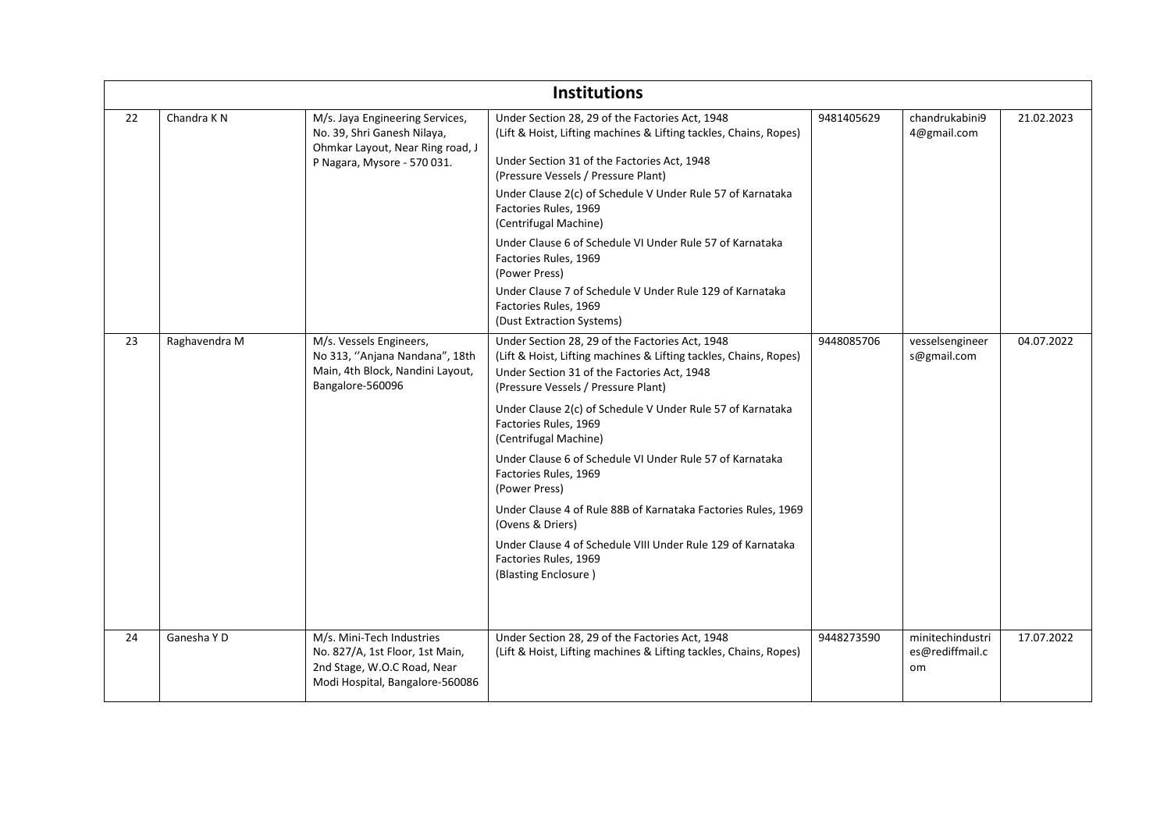|    |                        |                                                                                                                                   | <b>Institutions</b>                                                                                                                                                                                                                                                                                                                                                                                                                                                                                                                                                                                                                   |            |                                           |            |
|----|------------------------|-----------------------------------------------------------------------------------------------------------------------------------|---------------------------------------------------------------------------------------------------------------------------------------------------------------------------------------------------------------------------------------------------------------------------------------------------------------------------------------------------------------------------------------------------------------------------------------------------------------------------------------------------------------------------------------------------------------------------------------------------------------------------------------|------------|-------------------------------------------|------------|
| 22 | Chandra K <sub>N</sub> | M/s. Jaya Engineering Services,<br>No. 39, Shri Ganesh Nilaya,<br>Ohmkar Layout, Near Ring road, J<br>P Nagara, Mysore - 570 031. | Under Section 28, 29 of the Factories Act, 1948<br>(Lift & Hoist, Lifting machines & Lifting tackles, Chains, Ropes)<br>Under Section 31 of the Factories Act, 1948<br>(Pressure Vessels / Pressure Plant)<br>Under Clause 2(c) of Schedule V Under Rule 57 of Karnataka<br>Factories Rules, 1969<br>(Centrifugal Machine)<br>Under Clause 6 of Schedule VI Under Rule 57 of Karnataka<br>Factories Rules, 1969<br>(Power Press)<br>Under Clause 7 of Schedule V Under Rule 129 of Karnataka<br>Factories Rules, 1969<br>(Dust Extraction Systems)                                                                                    | 9481405629 | chandrukabini9<br>4@gmail.com             | 21.02.2023 |
| 23 | Raghavendra M          | M/s. Vessels Engineers,<br>No 313, "Anjana Nandana", 18th<br>Main, 4th Block, Nandini Layout,<br>Bangalore-560096                 | Under Section 28, 29 of the Factories Act, 1948<br>(Lift & Hoist, Lifting machines & Lifting tackles, Chains, Ropes)<br>Under Section 31 of the Factories Act, 1948<br>(Pressure Vessels / Pressure Plant)<br>Under Clause 2(c) of Schedule V Under Rule 57 of Karnataka<br>Factories Rules, 1969<br>(Centrifugal Machine)<br>Under Clause 6 of Schedule VI Under Rule 57 of Karnataka<br>Factories Rules, 1969<br>(Power Press)<br>Under Clause 4 of Rule 88B of Karnataka Factories Rules, 1969<br>(Ovens & Driers)<br>Under Clause 4 of Schedule VIII Under Rule 129 of Karnataka<br>Factories Rules, 1969<br>(Blasting Enclosure) | 9448085706 | vesselsengineer<br>s@gmail.com            | 04.07.2022 |
| 24 | Ganesha Y D            | M/s. Mini-Tech Industries<br>No. 827/A, 1st Floor, 1st Main,<br>2nd Stage, W.O.C Road, Near<br>Modi Hospital, Bangalore-560086    | Under Section 28, 29 of the Factories Act, 1948<br>(Lift & Hoist, Lifting machines & Lifting tackles, Chains, Ropes)                                                                                                                                                                                                                                                                                                                                                                                                                                                                                                                  | 9448273590 | minitechindustri<br>es@rediffmail.c<br>om | 17.07.2022 |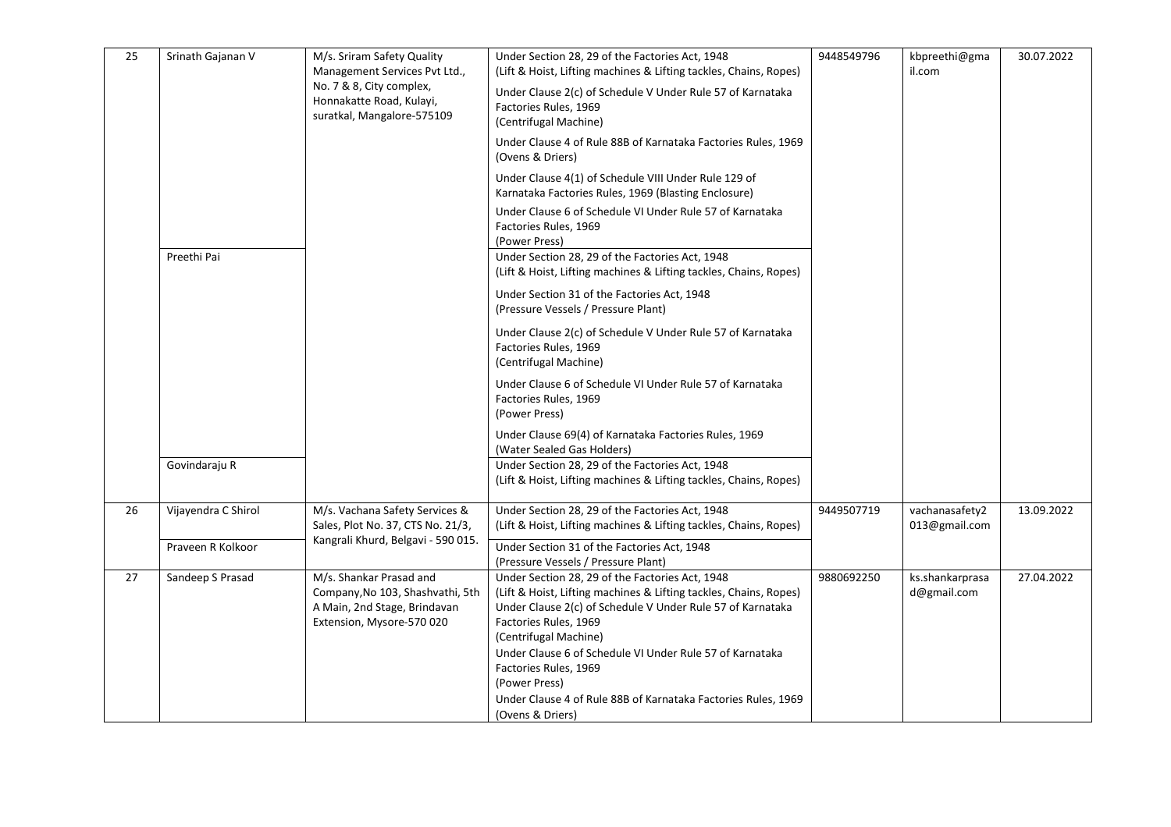| 25 | Srinath Gajanan V   | M/s. Sriram Safety Quality<br>Management Services Pvt Ltd.,                                                              | Under Section 28, 29 of the Factories Act, 1948<br>(Lift & Hoist, Lifting machines & Lifting tackles, Chains, Ropes)                                                                                                                                                                             | 9448549796 | kbpreethi@gma<br>il.com         | 30.07.2022 |
|----|---------------------|--------------------------------------------------------------------------------------------------------------------------|--------------------------------------------------------------------------------------------------------------------------------------------------------------------------------------------------------------------------------------------------------------------------------------------------|------------|---------------------------------|------------|
|    |                     | No. 7 & 8, City complex,<br>Honnakatte Road, Kulayi,<br>suratkal, Mangalore-575109                                       | Under Clause 2(c) of Schedule V Under Rule 57 of Karnataka<br>Factories Rules, 1969<br>(Centrifugal Machine)                                                                                                                                                                                     |            |                                 |            |
|    |                     |                                                                                                                          | Under Clause 4 of Rule 88B of Karnataka Factories Rules, 1969<br>(Ovens & Driers)                                                                                                                                                                                                                |            |                                 |            |
|    |                     |                                                                                                                          | Under Clause 4(1) of Schedule VIII Under Rule 129 of<br>Karnataka Factories Rules, 1969 (Blasting Enclosure)                                                                                                                                                                                     |            |                                 |            |
|    |                     |                                                                                                                          | Under Clause 6 of Schedule VI Under Rule 57 of Karnataka<br>Factories Rules, 1969<br>(Power Press)                                                                                                                                                                                               |            |                                 |            |
|    | Preethi Pai         |                                                                                                                          | Under Section 28, 29 of the Factories Act, 1948<br>(Lift & Hoist, Lifting machines & Lifting tackles, Chains, Ropes)                                                                                                                                                                             |            |                                 |            |
|    |                     |                                                                                                                          | Under Section 31 of the Factories Act, 1948<br>(Pressure Vessels / Pressure Plant)                                                                                                                                                                                                               |            |                                 |            |
|    |                     |                                                                                                                          | Under Clause 2(c) of Schedule V Under Rule 57 of Karnataka<br>Factories Rules, 1969<br>(Centrifugal Machine)                                                                                                                                                                                     |            |                                 |            |
|    |                     |                                                                                                                          | Under Clause 6 of Schedule VI Under Rule 57 of Karnataka<br>Factories Rules, 1969<br>(Power Press)                                                                                                                                                                                               |            |                                 |            |
|    |                     |                                                                                                                          | Under Clause 69(4) of Karnataka Factories Rules, 1969<br>(Water Sealed Gas Holders)                                                                                                                                                                                                              |            |                                 |            |
|    | Govindaraju R       |                                                                                                                          | Under Section 28, 29 of the Factories Act, 1948<br>(Lift & Hoist, Lifting machines & Lifting tackles, Chains, Ropes)                                                                                                                                                                             |            |                                 |            |
| 26 | Vijayendra C Shirol | M/s. Vachana Safety Services &<br>Sales, Plot No. 37, CTS No. 21/3,                                                      | Under Section 28, 29 of the Factories Act, 1948<br>(Lift & Hoist, Lifting machines & Lifting tackles, Chains, Ropes)                                                                                                                                                                             | 9449507719 | vachanasafety2<br>013@gmail.com | 13.09.2022 |
|    | Praveen R Kolkoor   | Kangrali Khurd, Belgavi - 590 015.                                                                                       | Under Section 31 of the Factories Act, 1948<br>(Pressure Vessels / Pressure Plant)                                                                                                                                                                                                               |            |                                 |            |
| 27 | Sandeep S Prasad    | M/s. Shankar Prasad and<br>Company, No 103, Shashvathi, 5th<br>A Main, 2nd Stage, Brindavan<br>Extension, Mysore-570 020 | Under Section 28, 29 of the Factories Act, 1948<br>(Lift & Hoist, Lifting machines & Lifting tackles, Chains, Ropes)<br>Under Clause 2(c) of Schedule V Under Rule 57 of Karnataka<br>Factories Rules, 1969<br>(Centrifugal Machine)<br>Under Clause 6 of Schedule VI Under Rule 57 of Karnataka | 9880692250 | ks.shankarprasa<br>d@gmail.com  | 27.04.2022 |
|    |                     |                                                                                                                          | Factories Rules, 1969<br>(Power Press)<br>Under Clause 4 of Rule 88B of Karnataka Factories Rules, 1969<br>(Ovens & Driers)                                                                                                                                                                      |            |                                 |            |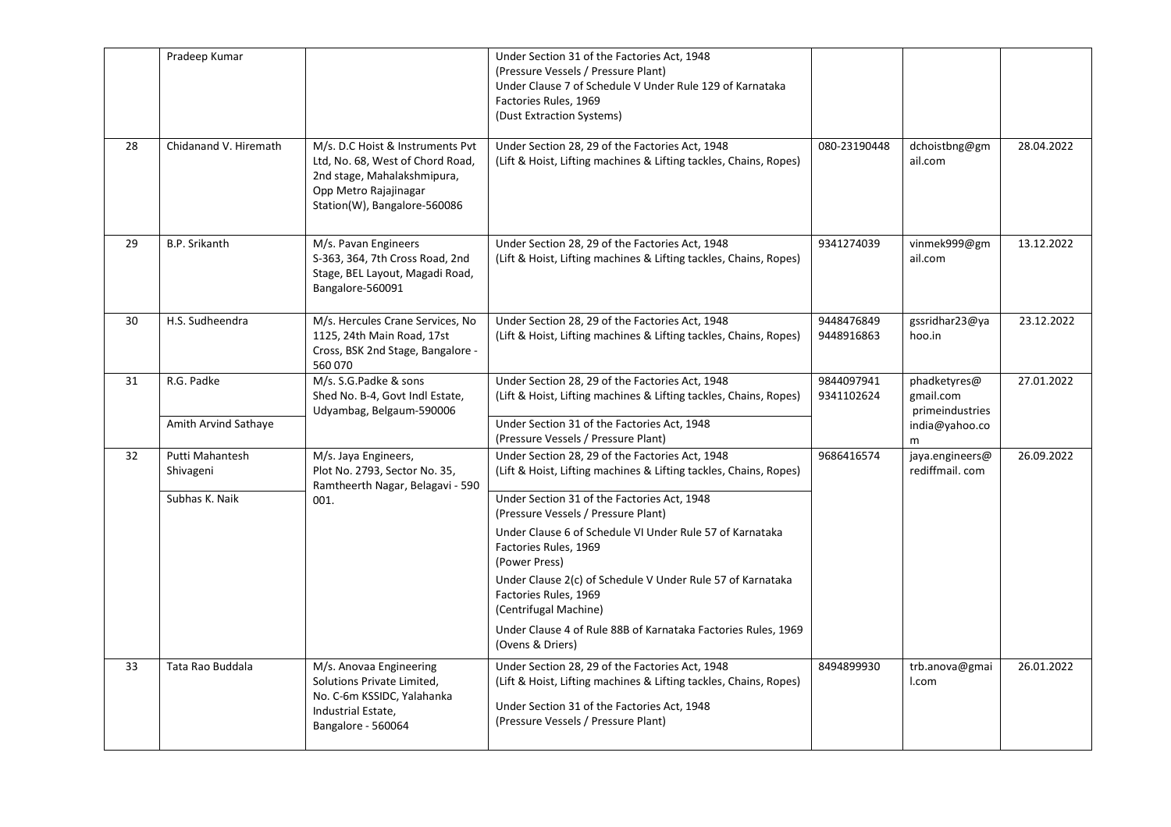|    | Pradeep Kumar                |                                                                                                                                                              | Under Section 31 of the Factories Act, 1948<br>(Pressure Vessels / Pressure Plant)<br>Under Clause 7 of Schedule V Under Rule 129 of Karnataka<br>Factories Rules, 1969<br>(Dust Extraction Systems)       |                          |                                              |            |
|----|------------------------------|--------------------------------------------------------------------------------------------------------------------------------------------------------------|------------------------------------------------------------------------------------------------------------------------------------------------------------------------------------------------------------|--------------------------|----------------------------------------------|------------|
| 28 | Chidanand V. Hiremath        | M/s. D.C Hoist & Instruments Pvt<br>Ltd, No. 68, West of Chord Road,<br>2nd stage, Mahalakshmipura,<br>Opp Metro Rajajinagar<br>Station(W), Bangalore-560086 | Under Section 28, 29 of the Factories Act, 1948<br>(Lift & Hoist, Lifting machines & Lifting tackles, Chains, Ropes)                                                                                       | 080-23190448             | dchoistbng@gm<br>ail.com                     | 28.04.2022 |
| 29 | B.P. Srikanth                | M/s. Pavan Engineers<br>S-363, 364, 7th Cross Road, 2nd<br>Stage, BEL Layout, Magadi Road,<br>Bangalore-560091                                               | Under Section 28, 29 of the Factories Act, 1948<br>(Lift & Hoist, Lifting machines & Lifting tackles, Chains, Ropes)                                                                                       | 9341274039               | vinmek999@gm<br>ail.com                      | 13.12.2022 |
| 30 | H.S. Sudheendra              | M/s. Hercules Crane Services, No<br>1125, 24th Main Road, 17st<br>Cross, BSK 2nd Stage, Bangalore -<br>560 070                                               | Under Section 28, 29 of the Factories Act, 1948<br>(Lift & Hoist, Lifting machines & Lifting tackles, Chains, Ropes)                                                                                       | 9448476849<br>9448916863 | gssridhar23@ya<br>hoo.in                     | 23.12.2022 |
| 31 | R.G. Padke                   | M/s. S.G.Padke & sons<br>Shed No. B-4, Govt Indl Estate,<br>Udyambag, Belgaum-590006                                                                         | Under Section 28, 29 of the Factories Act, 1948<br>(Lift & Hoist, Lifting machines & Lifting tackles, Chains, Ropes)                                                                                       | 9844097941<br>9341102624 | phadketyres@<br>gmail.com<br>primeindustries | 27.01.2022 |
|    | Amith Arvind Sathaye         |                                                                                                                                                              | Under Section 31 of the Factories Act, 1948<br>(Pressure Vessels / Pressure Plant)                                                                                                                         |                          | india@yahoo.co<br>m                          |            |
| 32 | Putti Mahantesh<br>Shivageni | M/s. Jaya Engineers,<br>Plot No. 2793, Sector No. 35,<br>Ramtheerth Nagar, Belagavi - 590                                                                    | Under Section 28, 29 of the Factories Act, 1948<br>(Lift & Hoist, Lifting machines & Lifting tackles, Chains, Ropes)                                                                                       | 9686416574               | jaya.engineers@<br>rediffmail.com            | 26.09.2022 |
|    | Subhas K. Naik               | 001.                                                                                                                                                         | Under Section 31 of the Factories Act, 1948<br>(Pressure Vessels / Pressure Plant)                                                                                                                         |                          |                                              |            |
|    |                              |                                                                                                                                                              | Under Clause 6 of Schedule VI Under Rule 57 of Karnataka<br>Factories Rules, 1969<br>(Power Press)                                                                                                         |                          |                                              |            |
|    |                              |                                                                                                                                                              | Under Clause 2(c) of Schedule V Under Rule 57 of Karnataka<br>Factories Rules, 1969<br>(Centrifugal Machine)                                                                                               |                          |                                              |            |
|    |                              |                                                                                                                                                              | Under Clause 4 of Rule 88B of Karnataka Factories Rules, 1969<br>(Ovens & Driers)                                                                                                                          |                          |                                              |            |
| 33 | Tata Rao Buddala             | M/s. Anovaa Engineering<br>Solutions Private Limited,<br>No. C-6m KSSIDC, Yalahanka<br>Industrial Estate,<br>Bangalore - 560064                              | Under Section 28, 29 of the Factories Act, 1948<br>(Lift & Hoist, Lifting machines & Lifting tackles, Chains, Ropes)<br>Under Section 31 of the Factories Act, 1948<br>(Pressure Vessels / Pressure Plant) | 8494899930               | trb.anova@gmai<br>I.com                      | 26.01.2022 |
|    |                              |                                                                                                                                                              |                                                                                                                                                                                                            |                          |                                              |            |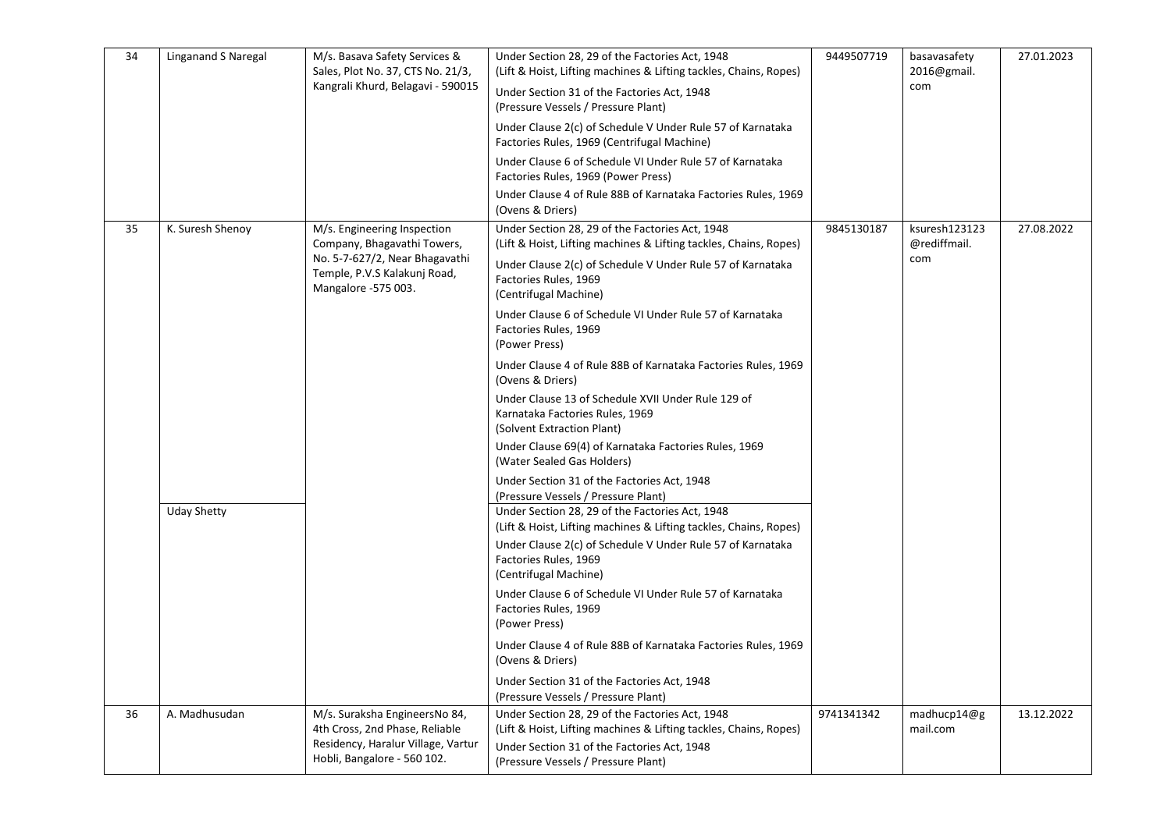| 34 | Linganand S Naregal | M/s. Basava Safety Services &<br>Sales, Plot No. 37, CTS No. 21/3,<br>Kangrali Khurd, Belagavi - 590015                                             | Under Section 28, 29 of the Factories Act, 1948<br>(Lift & Hoist, Lifting machines & Lifting tackles, Chains, Ropes)<br>Under Section 31 of the Factories Act, 1948<br>(Pressure Vessels / Pressure Plant)<br>Under Clause 2(c) of Schedule V Under Rule 57 of Karnataka<br>Factories Rules, 1969 (Centrifugal Machine)<br>Under Clause 6 of Schedule VI Under Rule 57 of Karnataka<br>Factories Rules, 1969 (Power Press)<br>Under Clause 4 of Rule 88B of Karnataka Factories Rules, 1969<br>(Ovens & Driers)                                                                                                                                                                                                                     | 9449507719 | basavasafety<br>2016@gmail.<br>com   | 27.01.2023 |
|----|---------------------|-----------------------------------------------------------------------------------------------------------------------------------------------------|-------------------------------------------------------------------------------------------------------------------------------------------------------------------------------------------------------------------------------------------------------------------------------------------------------------------------------------------------------------------------------------------------------------------------------------------------------------------------------------------------------------------------------------------------------------------------------------------------------------------------------------------------------------------------------------------------------------------------------------|------------|--------------------------------------|------------|
| 35 | K. Suresh Shenoy    | M/s. Engineering Inspection<br>Company, Bhagavathi Towers,<br>No. 5-7-627/2, Near Bhagavathi<br>Temple, P.V.S Kalakunj Road,<br>Mangalore -575 003. | Under Section 28, 29 of the Factories Act, 1948<br>(Lift & Hoist, Lifting machines & Lifting tackles, Chains, Ropes)<br>Under Clause 2(c) of Schedule V Under Rule 57 of Karnataka<br>Factories Rules, 1969<br>(Centrifugal Machine)<br>Under Clause 6 of Schedule VI Under Rule 57 of Karnataka<br>Factories Rules, 1969<br>(Power Press)<br>Under Clause 4 of Rule 88B of Karnataka Factories Rules, 1969<br>(Ovens & Driers)<br>Under Clause 13 of Schedule XVII Under Rule 129 of<br>Karnataka Factories Rules, 1969<br>(Solvent Extraction Plant)<br>Under Clause 69(4) of Karnataka Factories Rules, 1969<br>(Water Sealed Gas Holders)<br>Under Section 31 of the Factories Act, 1948<br>(Pressure Vessels / Pressure Plant) | 9845130187 | ksuresh123123<br>@rediffmail.<br>com | 27.08.2022 |
|    | <b>Uday Shetty</b>  |                                                                                                                                                     | Under Section 28, 29 of the Factories Act, 1948<br>(Lift & Hoist, Lifting machines & Lifting tackles, Chains, Ropes)<br>Under Clause 2(c) of Schedule V Under Rule 57 of Karnataka<br>Factories Rules, 1969<br>(Centrifugal Machine)<br>Under Clause 6 of Schedule VI Under Rule 57 of Karnataka<br>Factories Rules, 1969<br>(Power Press)<br>Under Clause 4 of Rule 88B of Karnataka Factories Rules, 1969<br>(Ovens & Driers)<br>Under Section 31 of the Factories Act, 1948<br>(Pressure Vessels / Pressure Plant)                                                                                                                                                                                                               |            |                                      |            |
| 36 | A. Madhusudan       | M/s. Suraksha EngineersNo 84,<br>4th Cross, 2nd Phase, Reliable<br>Residency, Haralur Village, Vartur<br>Hobli, Bangalore - 560 102.                | Under Section 28, 29 of the Factories Act, 1948<br>(Lift & Hoist, Lifting machines & Lifting tackles, Chains, Ropes)<br>Under Section 31 of the Factories Act, 1948<br>(Pressure Vessels / Pressure Plant)                                                                                                                                                                                                                                                                                                                                                                                                                                                                                                                          | 9741341342 | madhucp14@g<br>mail.com              | 13.12.2022 |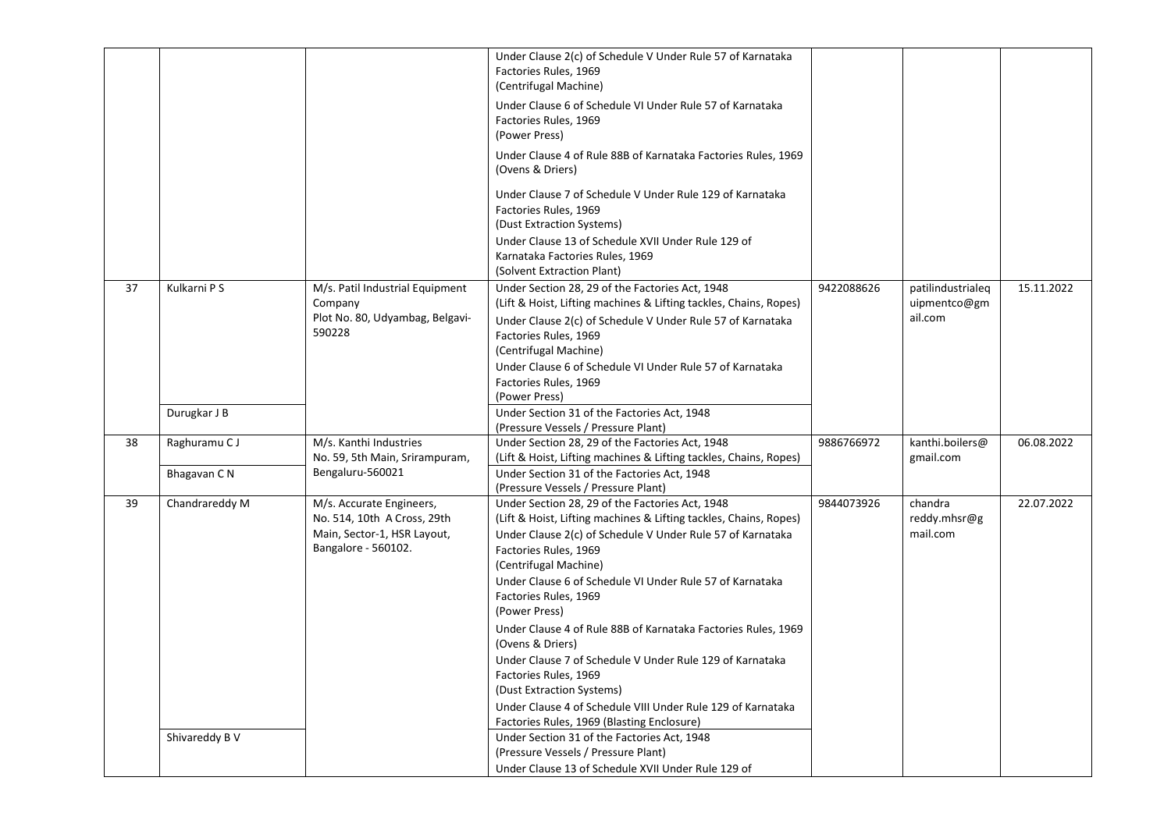|    |                |                                                                                                               | Under Clause 2(c) of Schedule V Under Rule 57 of Karnataka<br>Factories Rules, 1969<br>(Centrifugal Machine)<br>Under Clause 6 of Schedule VI Under Rule 57 of Karnataka<br>Factories Rules, 1969<br>(Power Press)<br>Under Clause 4 of Rule 88B of Karnataka Factories Rules, 1969<br>(Ovens & Driers)<br>Under Clause 7 of Schedule V Under Rule 129 of Karnataka<br>Factories Rules, 1969<br>(Dust Extraction Systems)<br>Under Clause 13 of Schedule XVII Under Rule 129 of |            |                                              |            |
|----|----------------|---------------------------------------------------------------------------------------------------------------|---------------------------------------------------------------------------------------------------------------------------------------------------------------------------------------------------------------------------------------------------------------------------------------------------------------------------------------------------------------------------------------------------------------------------------------------------------------------------------|------------|----------------------------------------------|------------|
|    |                |                                                                                                               | Karnataka Factories Rules, 1969<br>(Solvent Extraction Plant)                                                                                                                                                                                                                                                                                                                                                                                                                   |            |                                              |            |
| 37 | Kulkarni P S   | M/s. Patil Industrial Equipment<br>Company<br>Plot No. 80, Udyambag, Belgavi-<br>590228                       | Under Section 28, 29 of the Factories Act, 1948<br>(Lift & Hoist, Lifting machines & Lifting tackles, Chains, Ropes)<br>Under Clause 2(c) of Schedule V Under Rule 57 of Karnataka<br>Factories Rules, 1969<br>(Centrifugal Machine)<br>Under Clause 6 of Schedule VI Under Rule 57 of Karnataka<br>Factories Rules, 1969<br>(Power Press)                                                                                                                                      | 9422088626 | patilindustrialeq<br>uipmentco@gm<br>ail.com | 15.11.2022 |
|    | Durugkar J B   |                                                                                                               | Under Section 31 of the Factories Act, 1948                                                                                                                                                                                                                                                                                                                                                                                                                                     |            |                                              |            |
| 38 | Raghuramu C J  | M/s. Kanthi Industries<br>No. 59, 5th Main, Srirampuram,                                                      | (Pressure Vessels / Pressure Plant)<br>Under Section 28, 29 of the Factories Act, 1948<br>(Lift & Hoist, Lifting machines & Lifting tackles, Chains, Ropes)                                                                                                                                                                                                                                                                                                                     | 9886766972 | kanthi.boilers@<br>gmail.com                 | 06.08.2022 |
|    | Bhagavan CN    | Bengaluru-560021                                                                                              | Under Section 31 of the Factories Act, 1948<br>(Pressure Vessels / Pressure Plant)                                                                                                                                                                                                                                                                                                                                                                                              |            |                                              |            |
| 39 | Chandrareddy M | M/s. Accurate Engineers,<br>No. 514, 10th A Cross, 29th<br>Main, Sector-1, HSR Layout,<br>Bangalore - 560102. | Under Section 28, 29 of the Factories Act, 1948<br>(Lift & Hoist, Lifting machines & Lifting tackles, Chains, Ropes)<br>Under Clause 2(c) of Schedule V Under Rule 57 of Karnataka<br>Factories Rules, 1969<br>(Centrifugal Machine)<br>Under Clause 6 of Schedule VI Under Rule 57 of Karnataka<br>Factories Rules, 1969<br>(Power Press)<br>Under Clause 4 of Rule 88B of Karnataka Factories Rules, 1969                                                                     | 9844073926 | chandra<br>reddy.mhsr@g<br>mail.com          | 22.07.2022 |
|    |                |                                                                                                               | (Ovens & Driers)<br>Under Clause 7 of Schedule V Under Rule 129 of Karnataka<br>Factories Rules, 1969<br>(Dust Extraction Systems)<br>Under Clause 4 of Schedule VIII Under Rule 129 of Karnataka<br>Factories Rules, 1969 (Blasting Enclosure)                                                                                                                                                                                                                                 |            |                                              |            |
|    | Shivareddy B V |                                                                                                               | Under Section 31 of the Factories Act, 1948<br>(Pressure Vessels / Pressure Plant)<br>Under Clause 13 of Schedule XVII Under Rule 129 of                                                                                                                                                                                                                                                                                                                                        |            |                                              |            |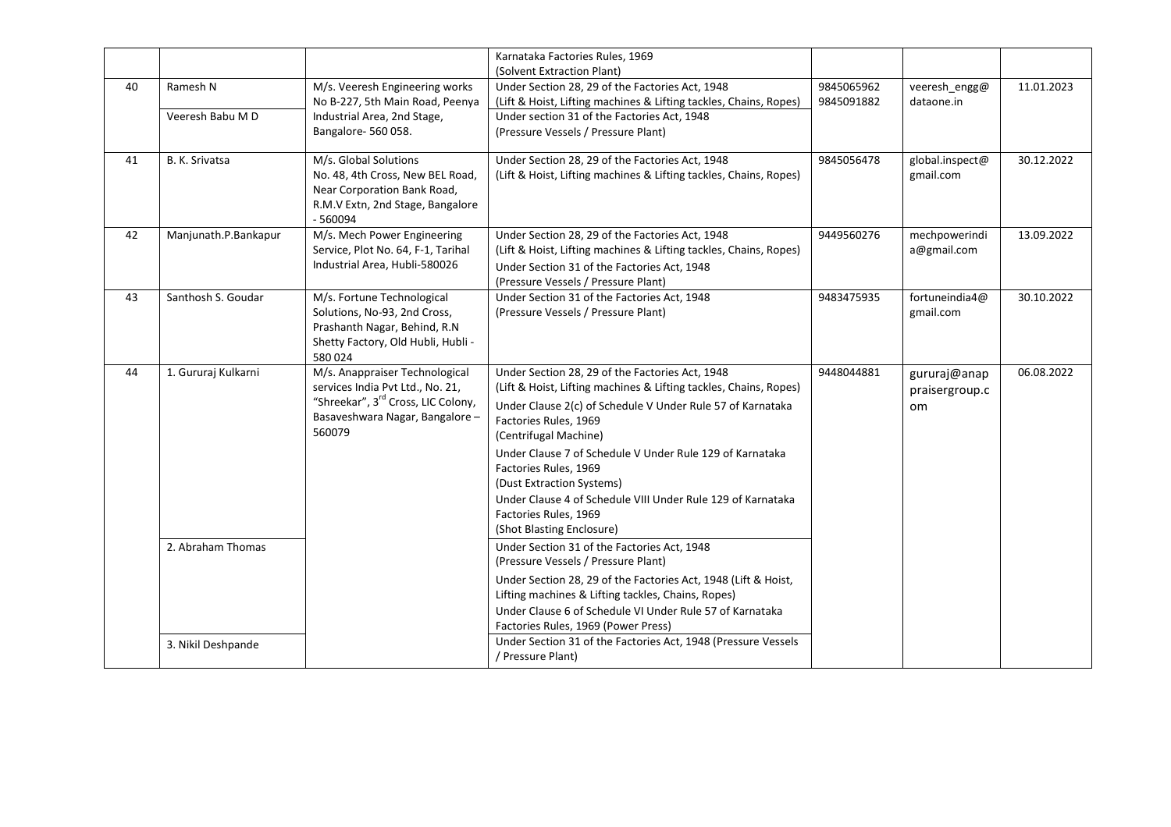|    |                              |                                                                                                                                                                  | Karnataka Factories Rules, 1969<br>(Solvent Extraction Plant)                                                                                                                                                                                                                                                                                                                                                                                                               |                          |                                             |            |
|----|------------------------------|------------------------------------------------------------------------------------------------------------------------------------------------------------------|-----------------------------------------------------------------------------------------------------------------------------------------------------------------------------------------------------------------------------------------------------------------------------------------------------------------------------------------------------------------------------------------------------------------------------------------------------------------------------|--------------------------|---------------------------------------------|------------|
| 40 | Ramesh N<br>Veeresh Babu M D | M/s. Veeresh Engineering works<br>No B-227, 5th Main Road, Peenya<br>Industrial Area, 2nd Stage,<br>Bangalore-560058.                                            | Under Section 28, 29 of the Factories Act, 1948<br>(Lift & Hoist, Lifting machines & Lifting tackles, Chains, Ropes)<br>Under section 31 of the Factories Act, 1948<br>(Pressure Vessels / Pressure Plant)                                                                                                                                                                                                                                                                  | 9845065962<br>9845091882 | veeresh engg@<br>dataone.in                 | 11.01.2023 |
| 41 | B. K. Srivatsa               | M/s. Global Solutions<br>No. 48, 4th Cross, New BEL Road,<br>Near Corporation Bank Road,<br>R.M.V Extn, 2nd Stage, Bangalore<br>$-560094$                        | Under Section 28, 29 of the Factories Act, 1948<br>(Lift & Hoist, Lifting machines & Lifting tackles, Chains, Ropes)                                                                                                                                                                                                                                                                                                                                                        | 9845056478               | global.inspect@<br>gmail.com                | 30.12.2022 |
| 42 | Manjunath.P.Bankapur         | M/s. Mech Power Engineering<br>Service, Plot No. 64, F-1, Tarihal<br>Industrial Area, Hubli-580026                                                               | Under Section 28, 29 of the Factories Act, 1948<br>(Lift & Hoist, Lifting machines & Lifting tackles, Chains, Ropes)<br>Under Section 31 of the Factories Act, 1948<br>(Pressure Vessels / Pressure Plant)                                                                                                                                                                                                                                                                  | 9449560276               | mechpowerindi<br>a@gmail.com                | 13.09.2022 |
| 43 | Santhosh S. Goudar           | M/s. Fortune Technological<br>Solutions, No-93, 2nd Cross,<br>Prashanth Nagar, Behind, R.N<br>Shetty Factory, Old Hubli, Hubli -<br>580024                       | Under Section 31 of the Factories Act, 1948<br>(Pressure Vessels / Pressure Plant)                                                                                                                                                                                                                                                                                                                                                                                          | 9483475935               | fortuneindia4@<br>gmail.com                 | 30.10.2022 |
| 44 | 1. Gururaj Kulkarni          | M/s. Anappraiser Technological<br>services India Pvt Ltd., No. 21,<br>"Shreekar", 3 <sup>rd</sup> Cross, LIC Colony,<br>Basaveshwara Nagar, Bangalore-<br>560079 | Under Section 28, 29 of the Factories Act, 1948<br>(Lift & Hoist, Lifting machines & Lifting tackles, Chains, Ropes)<br>Under Clause 2(c) of Schedule V Under Rule 57 of Karnataka<br>Factories Rules, 1969<br>(Centrifugal Machine)<br>Under Clause 7 of Schedule V Under Rule 129 of Karnataka<br>Factories Rules, 1969<br>(Dust Extraction Systems)<br>Under Clause 4 of Schedule VIII Under Rule 129 of Karnataka<br>Factories Rules, 1969<br>(Shot Blasting Enclosure) | 9448044881               | gururaj@anap<br>praisergroup.c<br><b>om</b> | 06.08.2022 |
|    | 2. Abraham Thomas            |                                                                                                                                                                  | Under Section 31 of the Factories Act, 1948<br>(Pressure Vessels / Pressure Plant)<br>Under Section 28, 29 of the Factories Act, 1948 (Lift & Hoist,<br>Lifting machines & Lifting tackles, Chains, Ropes)<br>Under Clause 6 of Schedule VI Under Rule 57 of Karnataka<br>Factories Rules, 1969 (Power Press)                                                                                                                                                               |                          |                                             |            |
|    | 3. Nikil Deshpande           |                                                                                                                                                                  | Under Section 31 of the Factories Act, 1948 (Pressure Vessels<br>/ Pressure Plant)                                                                                                                                                                                                                                                                                                                                                                                          |                          |                                             |            |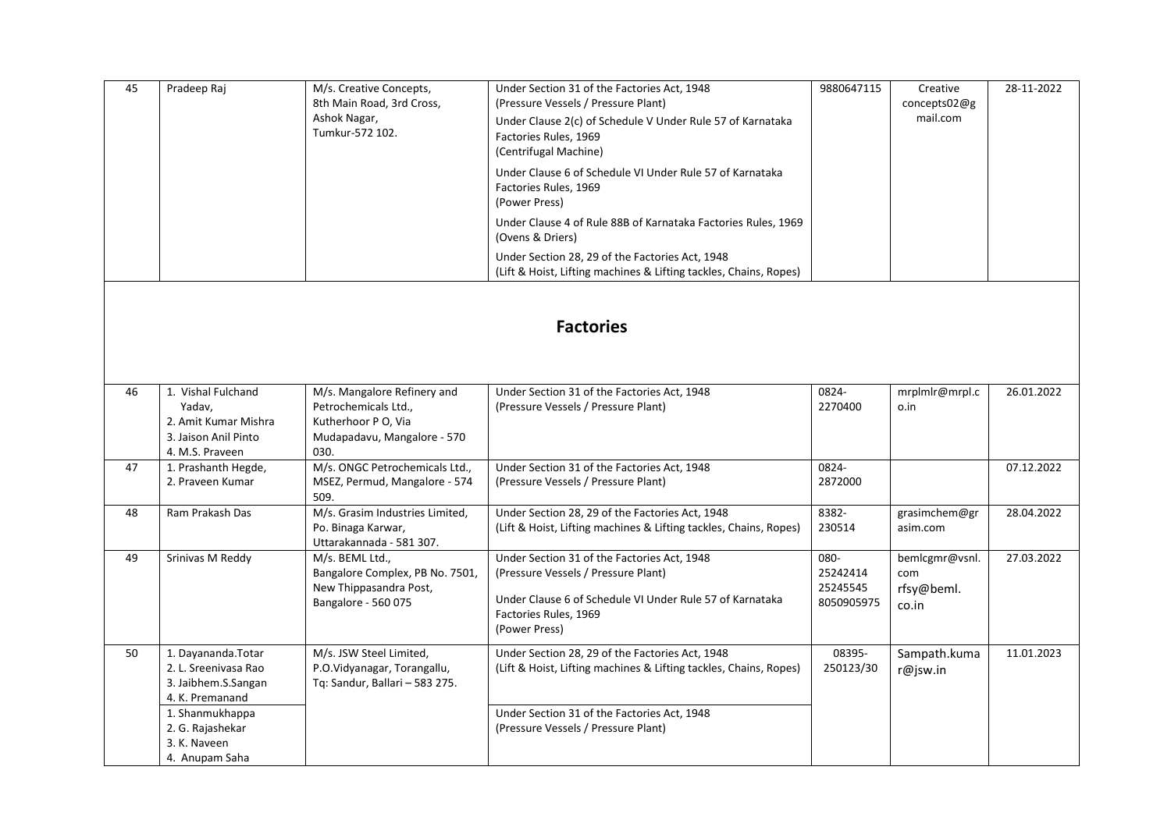| 45 | Pradeep Raj                                                                                     | M/s. Creative Concepts,<br>8th Main Road, 3rd Cross,                                                              | Under Section 31 of the Factories Act, 1948<br>(Pressure Vessels / Pressure Plant)                                                                                                       | 9880647115                                 | Creative<br>concepts02@g                     | 28-11-2022 |  |  |  |  |
|----|-------------------------------------------------------------------------------------------------|-------------------------------------------------------------------------------------------------------------------|------------------------------------------------------------------------------------------------------------------------------------------------------------------------------------------|--------------------------------------------|----------------------------------------------|------------|--|--|--|--|
|    |                                                                                                 | Ashok Nagar,<br>Tumkur-572 102.                                                                                   | Under Clause 2(c) of Schedule V Under Rule 57 of Karnataka<br>Factories Rules, 1969<br>(Centrifugal Machine)                                                                             |                                            | mail.com                                     |            |  |  |  |  |
|    |                                                                                                 |                                                                                                                   | Under Clause 6 of Schedule VI Under Rule 57 of Karnataka<br>Factories Rules, 1969<br>(Power Press)                                                                                       |                                            |                                              |            |  |  |  |  |
|    |                                                                                                 |                                                                                                                   | Under Clause 4 of Rule 88B of Karnataka Factories Rules, 1969<br>(Ovens & Driers)                                                                                                        |                                            |                                              |            |  |  |  |  |
|    |                                                                                                 |                                                                                                                   | Under Section 28, 29 of the Factories Act, 1948<br>(Lift & Hoist, Lifting machines & Lifting tackles, Chains, Ropes)                                                                     |                                            |                                              |            |  |  |  |  |
|    | <b>Factories</b>                                                                                |                                                                                                                   |                                                                                                                                                                                          |                                            |                                              |            |  |  |  |  |
|    |                                                                                                 |                                                                                                                   |                                                                                                                                                                                          |                                            |                                              |            |  |  |  |  |
| 46 | 1. Vishal Fulchand<br>Yadav,<br>2. Amit Kumar Mishra<br>3. Jaison Anil Pinto<br>4. M.S. Praveen | M/s. Mangalore Refinery and<br>Petrochemicals Ltd.,<br>Kutherhoor P O, Via<br>Mudapadavu, Mangalore - 570<br>030. | Under Section 31 of the Factories Act, 1948<br>(Pressure Vessels / Pressure Plant)                                                                                                       | 0824-<br>2270400                           | mrplmlr@mrpl.c<br>o.in                       | 26.01.2022 |  |  |  |  |
| 47 | 1. Prashanth Hegde,<br>2. Praveen Kumar                                                         | M/s. ONGC Petrochemicals Ltd.,<br>MSEZ, Permud, Mangalore - 574<br>509.                                           | Under Section 31 of the Factories Act, 1948<br>(Pressure Vessels / Pressure Plant)                                                                                                       | 0824-<br>2872000                           |                                              | 07.12.2022 |  |  |  |  |
| 48 | Ram Prakash Das                                                                                 | M/s. Grasim Industries Limited,<br>Po. Binaga Karwar,<br>Uttarakannada - 581 307.                                 | Under Section 28, 29 of the Factories Act, 1948<br>(Lift & Hoist, Lifting machines & Lifting tackles, Chains, Ropes)                                                                     | 8382-<br>230514                            | grasimchem@gr<br>asim.com                    | 28.04.2022 |  |  |  |  |
| 49 | Srinivas M Reddy                                                                                | M/s. BEML Ltd.,<br>Bangalore Complex, PB No. 7501,<br>New Thippasandra Post,<br>Bangalore - 560 075               | Under Section 31 of the Factories Act, 1948<br>(Pressure Vessels / Pressure Plant)<br>Under Clause 6 of Schedule VI Under Rule 57 of Karnataka<br>Factories Rules, 1969<br>(Power Press) | 080-<br>25242414<br>25245545<br>8050905975 | bemlcgmr@vsnl.<br>com<br>rfsy@beml.<br>co.in | 27.03.2022 |  |  |  |  |
| 50 | 1. Dayananda.Totar<br>2. L. Sreenivasa Rao<br>3. Jaibhem.S.Sangan<br>4. K. Premanand            | M/s. JSW Steel Limited,<br>P.O.Vidyanagar, Torangallu,<br>Tq: Sandur, Ballari - 583 275.                          | Under Section 28, 29 of the Factories Act, 1948<br>(Lift & Hoist, Lifting machines & Lifting tackles, Chains, Ropes)                                                                     | 08395-<br>250123/30                        | Sampath.kuma<br>r@jsw.in                     | 11.01.2023 |  |  |  |  |
|    | 1. Shanmukhappa<br>2. G. Rajashekar<br>3. K. Naveen<br>4. Anupam Saha                           |                                                                                                                   | Under Section 31 of the Factories Act, 1948<br>(Pressure Vessels / Pressure Plant)                                                                                                       |                                            |                                              |            |  |  |  |  |